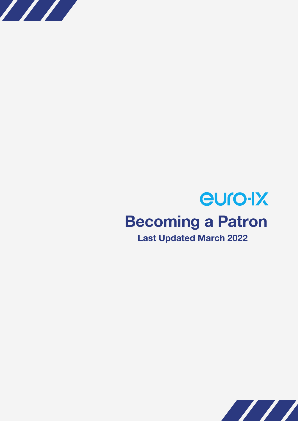

# euro-IX **Becoming a Patron Last Updated March 2022**

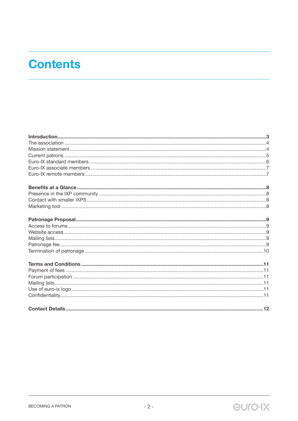# **Contents**

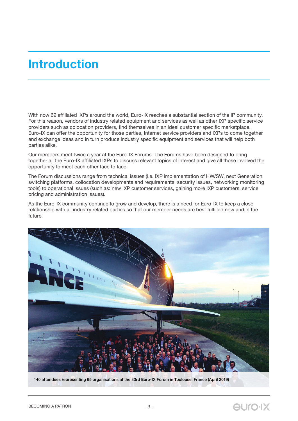# **Introduction**

With now 69 affiliated IXPs around the world, Euro-IX reaches a substantial section of the IP community. For this reason, vendors of industry related equipment and services as well as other IXP specific service providers such as colocation providers, find themselves in an ideal customer specific marketplace. Euro-IX can offer the opportunity for those parties, Internet service providers and IXPs to come together and exchange ideas and in turn produce industry specific equipment and services that will help both parties alike.

Our members meet twice a year at the Euro-IX Forums. The Forums have been designed to bring together all the Euro-IX affiliated IXPs to discuss relevant topics of interest and give all those involved the opportunity to meet each other face to face.

The Forum discussions range from technical issues (i.e. IXP implementation of HW/SW, next Generation switching platforms, collocation developments and requirements, security issues, networking monitoring tools) to operational issues (such as: new IXP customer services, gaining more IXP customers, service pricing and administration issues).

As the Euro-IX community continue to grow and develop, there is a need for Euro-IX to keep a close relationship with all industry related parties so that our member needs are best fulfilled now and in the future.



140 attendees representing 65 organisations at the 33rd Euro-IX Forum in Toulouse, France (April 2019)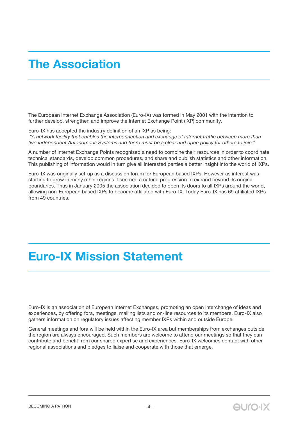## **The Association**

The European Internet Exchange Association (Euro-IX) was formed in May 2001 with the intention to further develop, strengthen and improve the Internet Exchange Point (IXP) community.

Euro-IX has accepted the industry definition of an IXP as being:

 *"A network facility that enables the interconnection and exchange of Internet traffic between more than two independent Autonomous Systems and there must be a clear and open policy for others to join."*

A number of Internet Exchange Points recognised a need to combine their resources in order to coordinate technical standards, develop common procedures, and share and publish statistics and other information. This publishing of information would in turn give all interested parties a better insight into the world of IXPs.

Euro-IX was originally set-up as a discussion forum for European based IXPs. However as interest was starting to grow in many other regions it seemed a natural progression to expand beyond its original boundaries. Thus in January 2005 the association decided to open its doors to all IXPs around the world, allowing non-European based IXPs to become affiliated with Euro-IX. Today Euro-IX has 69 affiliated IXPs from 49 countries.

# **Euro-IX Mission Statement**

Euro-IX is an association of European Internet Exchanges, promoting an open interchange of ideas and experiences, by offering fora, meetings, mailing lists and on-line resources to its members. Euro-IX also gathers information on regulatory issues affecting member IXPs within and outside Europe.

General meetings and fora will be held within the Euro-IX area but memberships from exchanges outside the region are always encouraged. Such members are welcome to attend our meetings so that they can contribute and benefit from our shared expertise and experiences. Euro-IX welcomes contact with other regional associations and pledges to liaise and cooperate with those that emerge.

**euro-IX**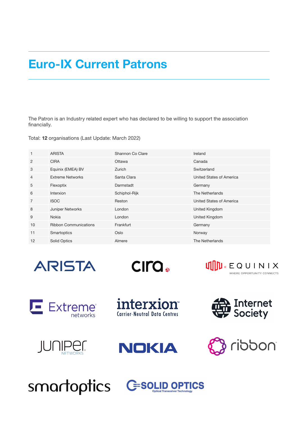### **Euro-IX Current Patrons**

The Patron is an Industry related expert who has declared to be willing to support the association financially.

Total: **12** organisations (Last Update: March 2022)

| $\mathbf{1}$   | <b>ARISTA</b>                | Shannon Co Clare | Ireland                  |
|----------------|------------------------------|------------------|--------------------------|
| 2              | <b>CIRA</b>                  | Ottawa           | Canada                   |
| 3              | Equinix (EMEA) BV            | Zurich           | Switzerland              |
| 4              | <b>Extreme Networks</b>      | Santa Clara      | United States of America |
| 5              | Flexoptix                    | Darmstadt        | Germany                  |
| 6              | Interxion                    | Schiphol-Rijk    | The Netherlands          |
| $\overline{7}$ | <b>ISOC</b>                  | Reston           | United States of America |
| 8              | Juniper Networks             | London           | United Kingdom           |
| 9              | Nokia                        | London           | United Kingdom           |
| 10             | <b>Ribbon Communications</b> | Frankfurt        | Germany                  |
| 11             | Smartoptics                  | Oslo             | Norway                   |
| 12             | Solid Optics                 | Almere           | The Netherlands          |

**ARISTA** 

CIro.



E Extreme®

interxion **Carrier-Neutral Data Centres** 

NOKIA









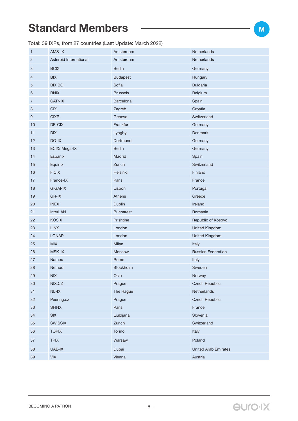### **Standard Members**

Total: 39 IXPs, from 27 countries (Last Update: March 2022)

| $\mathbf{1}$   | AMS-IX                      | Amsterdam        | Netherlands                 |
|----------------|-----------------------------|------------------|-----------------------------|
| 2              | Asteroid International      | Amsterdam        | Netherlands                 |
| 3              | <b>BCIX</b>                 | <b>Berlin</b>    | Germany                     |
| 4              | <b>BIX</b>                  | <b>Budapest</b>  | Hungary                     |
| 5              | <b>BIX.BG</b>               | Sofia            | <b>Bulgaria</b>             |
| 6              | <b>BNIX</b>                 | <b>Brussels</b>  | Belgium                     |
| $\overline{7}$ | <b>CATNIX</b>               | Barcelona        | Spain                       |
| 8              | CIX                         | Zagreb           | Croatia                     |
| 9              | <b>CIXP</b>                 | Geneva           | Switzerland                 |
| 10             | DE-CIX                      | Frankfurt        | Germany                     |
| 11             | <b>DIX</b>                  | Lyngby           | Denmark                     |
| 12             | DO-IX                       | Dortmund         | Germany                     |
| 13             | ECIX/ Mega-IX               | <b>Berlin</b>    | Germany                     |
| 14             | Espanix                     | Madrid           | Spain                       |
| 15             | Equinix                     | Zurich           | Switzerland                 |
| 16             | <b>FICIX</b>                | Helsinki         | Finland                     |
| 17             | France-IX                   | Paris            | France                      |
| 18             | <b>GIGAPIX</b>              | Lisbon           | Portugal                    |
| 19             | GR-IX                       | Athens           | Greece                      |
| 20             | <b>INEX</b>                 | <b>Dublin</b>    | Ireland                     |
| 21             | <b>InterLAN</b>             | <b>Bucharest</b> | Romania                     |
| 22             | <b>KOSIX</b>                | Prishtinë        | Republic of Kosovo          |
| 23             | <b>LINX</b>                 | London           | <b>United Kingdom</b>       |
| 24             | <b>LONAP</b>                | London           | United Kingdom              |
| 25             | MIX                         | Milan            | Italy                       |
| 26             | <b>MSK-IX</b>               | Moscow           | <b>Russian Federation</b>   |
| 27             | Namex                       | Rome             | Italy                       |
| 28             | Netnod                      | Stockholm        | Sweden                      |
| 29             | NIX                         | Oslo             | Norway                      |
| $30\,$         | NIX.CZ                      | Prague           | <b>Czech Republic</b>       |
| 31             | $NL-IX$                     | The Hague        | Netherlands                 |
| 32             | Peering.cz                  | Prague           | <b>Czech Republic</b>       |
| 33             | <b>SFINX</b>                | Paris            | France                      |
| 34             | SIX                         | Ljubljana        | Slovenia                    |
| 35             | <b>SWISSIX</b>              | Zurich           | Switzerland                 |
| 36             | <b>TOPIX</b>                | Torino           | Italy                       |
| 37             | <b>TPIX</b>                 | Warsaw           | Poland                      |
| 38             | UAE-IX                      | Dubai            | <b>United Arab Emirates</b> |
| $39\,$         | $\ensuremath{\mathsf{VIX}}$ | Vienna           | Austria                     |

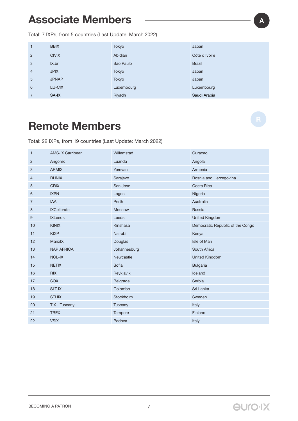### **Associate Members**

Total: 7 IXPs, from 5 countries (Last Update: March 2022)

| $\mathbf{1}$   | <b>BBIX</b>  | Tokyo      | Japan         |
|----------------|--------------|------------|---------------|
| 2              | <b>CIVIX</b> | Abidjan    | Côte d'Ivoire |
| 3              | IX.br        | Sao Paulo  | <b>Brazil</b> |
| $\overline{4}$ | <b>JPIX</b>  | Tokyo      | Japan         |
| 5              | <b>JPNAP</b> | Tokyo      | Japan         |
| 6              | LU-CIX       | Luxembourg | Luxembourg    |
| $\overline{7}$ | SA-IX        | Riyadh     | Saudi Arabia  |

### **Remote Members**

Total: 22 IXPs, from 19 countries (Last Update: March 2022)

| $\mathbf{1}$   | <b>AMS-IX Carribean</b> | Willemstad    | Curacao                          |
|----------------|-------------------------|---------------|----------------------------------|
| 2              | Angonix                 | Luanda        | Angola                           |
| 3              | <b>ARMIX</b>            | Yerevan       | Armenia                          |
| 4              | <b>BHNIX</b>            | Sarajevo      | Bosnia and Herzegovina           |
| 5              | <b>CRIX</b>             | San Jose      | Costa Rica                       |
| 6              | <b>IXPN</b>             | Lagos         | Nigeria                          |
| $\overline{7}$ | <b>IAA</b>              | Perth         | Australia                        |
| 8              | <b>IXCellerate</b>      | <b>Moscow</b> | Russia                           |
| 9              | <b>IXLeeds</b>          | Leeds         | <b>United Kingdom</b>            |
| 10             | <b>KINIX</b>            | Kinshasa      | Democratic Republic of the Congo |
| 11             | <b>KIXP</b>             | Nairobi       | Kenya                            |
| 12             | ManxIX                  | Douglas       | Isle of Man                      |
| 13             | <b>NAP AFRICA</b>       | Johannesburg  | South Africa                     |
| 14             | <b>NCL-IX</b>           | Newcastle     | <b>United Kingdom</b>            |
| 15             | <b>NETIX</b>            | Sofia         | <b>Bulgaria</b>                  |
| 16             | <b>RIX</b>              | Reykjavik     | Iceland                          |
| 17             | <b>SOX</b>              | Belgrade      | Serbia                           |
| 18             | SLT-IX                  | Colombo       | Sri Lanka                        |
| 19             | <b>STHIX</b>            | Stockholm     | Sweden                           |
| 20             | TIX - Tuscany           | Tuscany       | Italy                            |
| 21             | <b>TREX</b>             | Tampere       | Finland                          |
| 22             | <b>VSIX</b>             | Padova        | Italy                            |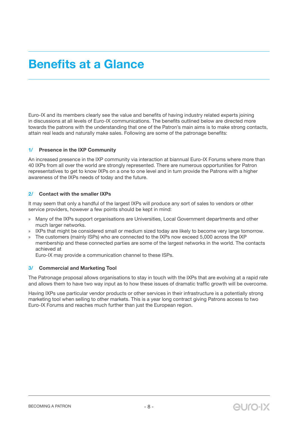### **Benefits at a Glance**

Euro-IX and its members clearly see the value and benefits of having industry related experts joining in discussions at all levels of Euro-IX communications. The benefits outlined below are directed more towards the patrons with the understanding that one of the Patron's main aims is to make strong contacts, attain real leads and naturally make sales. Following are some of the patronage benefits:

#### **1/ Presence in the IXP Community**

An increased presence in the IXP community via interaction at biannual Euro-IX Forums where more than 40 IXPs from all over the world are strongly represented. There are numerous opportunities for Patron representatives to get to know IXPs on a one to one level and in turn provide the Patrons with a higher awareness of the IXPs needs of today and the future.

#### **2/ Contact with the smaller IXPs**

It may seem that only a handful of the largest IXPs will produce any sort of sales to vendors or other service providers, however a few points should be kept in mind:

- » Many of the IXPs support organisations are Universities, Local Government departments and other much larger networks.
- » IXPs that might be considered small or medium sized today are likely to become very large tomorrow.
- » The customers (mainly ISPs) who are connected to the IXPs now exceed 5,000 across the IXP membership and these connected parties are some of the largest networks in the world. The contacts achieved at

Euro-IX may provide a communication channel to these ISPs.

#### **3/ Commercial and Marketing Tool**

The Patronage proposal allows organisations to stay in touch with the IXPs that are evolving at a rapid rate and allows them to have two way input as to how these issues of dramatic traffic growth will be overcome.

Having IXPs use particular vendor products or other services in their infrastructure is a potentially strong marketing tool when selling to other markets. This is a year long contract giving Patrons access to two Euro-IX Forums and reaches much further than just the European region.

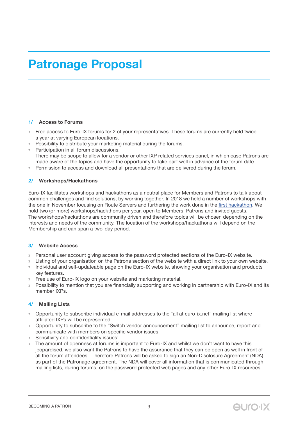# **Patronage Proposal**

#### **1/ Access to Forums**

- » Free access to Euro-IX forums for 2 of your representatives. These forums are currently held twice a year at varying European locations.
- » Possibility to distribute your marketing material during the forums.
- » Participation in all forum discussions. There may be scope to allow for a vendor or other IXP related services panel, in which case Patrons are made aware of the topics and have the opportunity to take part well in advance of the forum date.
- » Permission to access and download all presentations that are delivered during the forum.

#### **2/ Workshops/Hackathons**

Euro-IX facilitates workshops and hackathons as a neutral place for Members and Patrons to talk about common challenges and find solutions, by working together. In 2018 we held a number of workshops with the one in November focusing on Route Servers and furthering the work done in the first hackathon. We hold two (or more) workshops/hackthons per year, open to Members, Patrons and invited guests. The workshops/hackathons are community driven and therefore topics will be chosen depending on the interests and needs of the community. The location of the workshops/hackathons will depend on the Membership and can span a two-day period.

#### **3/ Website Access**

- » Personal user account giving access to the password protected sections of the Euro-IX website.
- » Listing of your organisation on the Patrons section of the website with a direct link to your own website. » Individual and self-updateable page on the Euro-IX website, showing your organisation and products
- key features.
- » Free use of Euro-IX logo on your website and marketing material.
- » Possibility to mention that you are financially supporting and working in partnership with Euro-IX and its member IXPs.

#### **4/ Mailing Lists**

- » Opportunity to subscribe individual e-mail addresses to the "all at euro-ix.net" mailing list where affiliated IXPs will be represented.
- » Opportunity to subscribe to the "Switch vendor announcement" mailing list to announce, report and communicate with members on specific vendor issues.
- » Sensitivity and confidentiality issues:
- » The amount of openness at forums is important to Euro-IX and whilst we don't want to have this jeopardised, we also want the Patrons to have the assurance that they can be open as well in front of all the forum attendees. Therefore Patrons will be asked to sign an Non-Disclosure Agreement (NDA) as part of the Patronage agreement. The NDA will cover all information that is communicated through mailing lists, during forums, on the password protected web pages and any other Euro-IX resources.

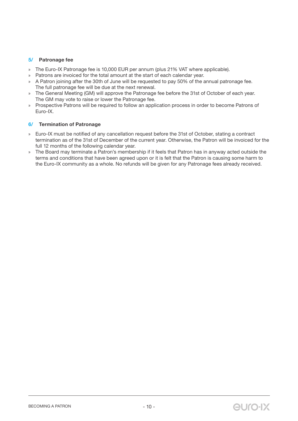#### **5/ Patronage fee**

- » The Euro-IX Patronage fee is 10,000 EUR per annum (plus 21% VAT where applicable).
- » Patrons are invoiced for the total amount at the start of each calendar year.
- » A Patron joining after the 30th of June will be requested to pay 50% of the annual patronage fee. The full patronage fee will be due at the next renewal.
- » The General Meeting (GM) will approve the Patronage fee before the 31st of October of each year. The GM may vote to raise or lower the Patronage fee.
- » Prospective Patrons will be required to follow an application process in order to become Patrons of Euro-IX.

#### **6/ Termination of Patronage**

- » Euro-IX must be notified of any cancellation request before the 31st of October, stating a contract termination as of the 31st of December of the current year. Otherwise, the Patron will be invoiced for the full 12 months of the following calendar year.
- » The Board may terminate a Patron's membership if it feels that Patron has in anyway acted outside the terms and conditions that have been agreed upon or it is felt that the Patron is causing some harm to the Euro-IX community as a whole. No refunds will be given for any Patronage fees already received.

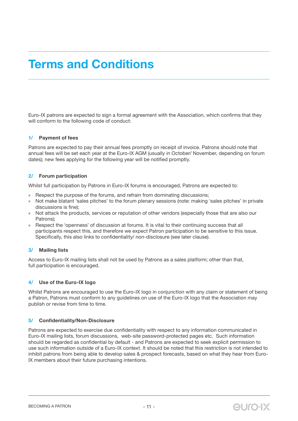## **Terms and Conditions**

Euro-IX patrons are expected to sign a formal agreement with the Association, which confirms that they will conform to the following code of conduct:

#### **1/ Payment of fees**

Patrons are expected to pay their annual fees promptly on receipt of invoice. Patrons should note that annual fees will be set each year at the Euro-IX AGM (usually in October/ November, depending on forum dates); new fees applying for the following year will be notified promptly.

#### **2/ Forum participation**

Whilst full participation by Patrons in Euro-IX forums is encouraged, Patrons are expected to:

- » Respect the purpose of the forums, and refrain from dominating discussions;
- » Not make blatant 'sales pitches' to the forum plenary sessions (note: making 'sales pitches' in private discussions is fine);
- » Not attack the products, services or reputation of other vendors (especially those that are also our Patrons);
- » Respect the 'openness' of discussion at forums. It is vital to their continuing success that all participants respect this, and therefore we expect Patron participation to be sensitive to this issue. Specifically, this also links to confidentiality/ non-disclosure (see later clause).

#### **3/ Mailing lists**

Access to Euro-IX mailing lists shall not be used by Patrons as a sales platform; other than that, full participation is encouraged.

#### **4/ Use of the Euro-IX logo**

Whilst Patrons are encouraged to use the Euro-IX logo in conjunction with any claim or statement of being a Patron, Patrons must conform to any guidelines on use of the Euro-IX logo that the Association may publish or revise from time to time.

#### **5/ Confidentiality/Non-Disclosure**

Patrons are expected to exercise due confidentiality with respect to any information communicated in Euro-IX mailing lists, forum discussions, web-site password-protected pages etc. Such information should be regarded as confidential by default - and Patrons are expected to seek explicit permission to use such information outside of a Euro-IX context. It should be noted that this restriction is not intended to inhibit patrons from being able to develop sales & prospect forecasts, based on what they hear from Euro-IX members about their future purchasing intentions.

**euro-IX**